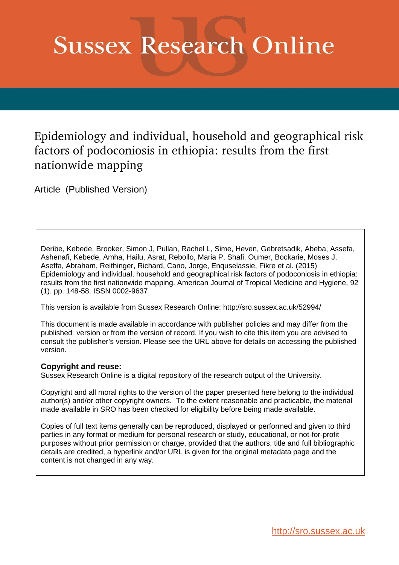# **Sussex Research Online**

# Epidemiology and individual, household and geographical risk factors of podoconiosis in ethiopia: results from the first nationwide mapping

Article (Published Version)

Deribe, Kebede, Brooker, Simon J, Pullan, Rachel L, Sime, Heven, Gebretsadik, Abeba, Assefa, Ashenafi, Kebede, Amha, Hailu, Asrat, Rebollo, Maria P, Shafi, Oumer, Bockarie, Moses J, Aseffa, Abraham, Reithinger, Richard, Cano, Jorge, Enquselassie, Fikre et al. (2015) Epidemiology and individual, household and geographical risk factors of podoconiosis in ethiopia: results from the first nationwide mapping. American Journal of Tropical Medicine and Hygiene, 92 (1). pp. 148-58. ISSN 0002-9637

This version is available from Sussex Research Online: http://sro.sussex.ac.uk/52994/

This document is made available in accordance with publisher policies and may differ from the published version or from the version of record. If you wish to cite this item you are advised to consult the publisher's version. Please see the URL above for details on accessing the published version.

### **Copyright and reuse:**

Sussex Research Online is a digital repository of the research output of the University.

Copyright and all moral rights to the version of the paper presented here belong to the individual author(s) and/or other copyright owners. To the extent reasonable and practicable, the material made available in SRO has been checked for eligibility before being made available.

Copies of full text items generally can be reproduced, displayed or performed and given to third parties in any format or medium for personal research or study, educational, or not-for-profit purposes without prior permission or charge, provided that the authors, title and full bibliographic details are credited, a hyperlink and/or URL is given for the original metadata page and the content is not changed in any way.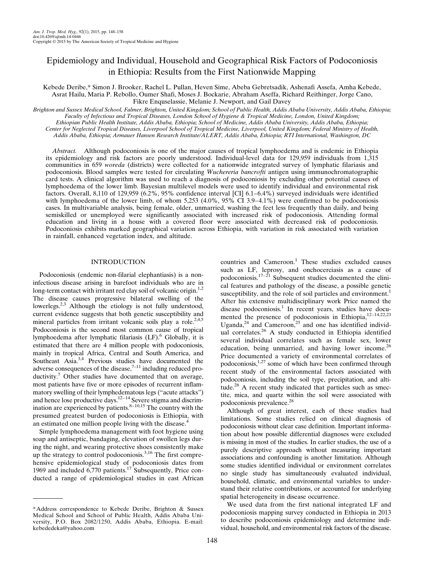## Epidemiology and Individual, Household and Geographical Risk Factors of Podoconiosis in Ethiopia: Results from the First Nationwide Mapping

Kebede Deribe,\* Simon J. Brooker, Rachel L. Pullan, Heven Sime, Abeba Gebretsadik, Ashenafi Assefa, Amha Kebede, Asrat Hailu, Maria P. Rebollo, Oumer Shafi, Moses J. Bockarie, Abraham Aseffa, Richard Reithinger, Jorge Cano, Fikre Enquselassie, Melanie J. Newport, and Gail Davey

*Brighton and Sussex Medical School, Falmer, Brighton, United Kingdom; School of Public Health, Addis Ababa University, Addis Ababa, Ethiopia; Faculty of Infectious and Tropical Diseases, London School of Hygiene & Tropical Medicine, London, United Kingdom; Ethiopian Public Health Institute, Addis Ababa, Ethiopia; School of Medicine, Addis Ababa University, Addis Ababa, Ethiopia; Center for Neglected Tropical Diseases, Liverpool School of Tropical Medicine, Liverpool, United Kingdom; Federal Ministry of Health, Addis Ababa, Ethiopia; Armauer Hansen Research Institute/ALERT, Addis Ababa, Ethiopia; RTI International, Washington, DC*

*Abstract.* Although podoconiosis is one of the major causes of tropical lymphoedema and is endemic in Ethiopia its epidemiology and risk factors are poorly understood. Individual-level data for 129,959 individuals from 1,315 communities in 659 *woreda* (districts) were collected for a nationwide integrated survey of lymphatic filariasis and podoconiosis. Blood samples were tested for circulating *Wuchereria bancrofti* antigen using immunochromatographic card tests. A clinical algorithm was used to reach a diagnosis of podoconiosis by excluding other potential causes of lymphoedema of the lower limb. Bayesian multilevel models were used to identify individual and environmental risk factors. Overall, 8,110 of 129,959 (6.2%, 95% confidence interval [CI] 6.1–6.4%) surveyed individuals were identified with lymphoedema of the lower limb, of whom 5,253 (4.0%, 95% CI 3.9–4.1%) were confirmed to be podoconiosis cases. In multivariable analysis, being female, older, unmarried, washing the feet less frequently than daily, and being semiskilled or unemployed were significantly associated with increased risk of podoconiosis. Attending formal education and living in a house with a covered floor were associated with decreased risk of podoconiosis. Podoconiosis exhibits marked geographical variation across Ethiopia, with variation in risk associated with variation in rainfall, enhanced vegetation index, and altitude.

#### INTRODUCTION

Podoconiosis (endemic non-filarial elephantiasis) is a noninfectious disease arising in barefoot individuals who are in long-term contact with irritant red clay soil of volcanic origin.<sup>1,2</sup> The disease causes progressive bilateral swelling of the lowerlegs.<sup>2,3</sup> Although the etiology is not fully understood, current evidence suggests that both genetic susceptibility and mineral particles from irritant volcanic soils play a role.<sup>2,4,5</sup> Podoconiosis is the second most common cause of tropical lymphoedema after lymphatic filariasis (LF).<sup>6</sup> Globally, it is estimated that there are 4 million people with podoconiosis, mainly in tropical Africa, Central and South America, and Southeast Asia.<sup>3,4</sup> Previous studies have documented the adverse consequences of the disease, $7^{-11}$  including reduced productivity.<sup>7</sup> Other studies have documented that on average, most patients have five or more episodes of recurrent inflammatory swelling of their lymphedematous legs ("acute attacks") and hence lose productive days.<sup>12-14</sup> Severe stigma and discrimination are experienced by patients. $8-10,15$  The country with the presumed greatest burden of podoconiosis is Ethiopia, with an estimated one million people living with the disease.<sup>4</sup>

Simple lymphoedema management with foot hygiene using soap and antiseptic, bandaging, elevation of swollen legs during the night, and wearing protective shoes consistently make up the strategy to control podoconiosis.<sup>3,16</sup> The first comprehensive epidemiological study of podoconiosis dates from 1969 and included  $6,770$  patients.<sup>17</sup> Subsequently, Price conducted a range of epidemiological studies in east African countries and  $Carneron.<sup>1</sup>$  These studies excluded causes such as LF, leprosy, and onchocerciasis as a cause of podoconiosis.<sup>17–21</sup> Subsequent studies documented the clinical features and pathology of the disease, a possible genetic susceptibility, and the role of soil particles and environment.<sup>1</sup> After his extensive multidisciplinary work Price named the disease podoconiosis.<sup>1</sup> In recent years, studies have documented the presence of podoconiosis in Ethiopia, $12-14,22,23$ Uganda, $^{24}$  and Cameroon, $^{25}$  and one has identified individual correlates.<sup>26</sup> A study conducted in Ethiopia identified several individual correlates such as female sex, lower education, being unmarried, and having lower income.<sup>26</sup> Price documented a variety of environmental correlates of podoconiosis, $1,27$  some of which have been confirmed through recent study of the environmental factors associated with podoconiosis, including the soil type, precipitation, and altitude.<sup>28</sup> A recent study indicated that particles such as smectite, mica, and quartz within the soil were associated with podoconiosis prevalence.<sup>28</sup>

Although of great interest, each of these studies had limitations. Some studies relied on clinical diagnosis of podoconiosis without clear case definition. Important information about how possible differential diagnoses were excluded is missing in most of the studies. In earlier studies, the use of a purely descriptive approach without measuring important associations and confounding is another limitation. Although some studies identified individual or environment correlates no single study has simultaneously evaluated individual, household, climatic, and environmental variables to understand their relative contributions, or accounted for underlying spatial heterogeneity in disease occurrence.

We used data from the first national integrated LF and podoconiosis mapping survey conducted in Ethiopia in 2013 to describe podoconiosis epidemiology and determine individual, household, and environmental risk factors of the disease.

<sup>\*</sup>Address correspondence to Kebede Deribe, Brighton & Sussex Medical School and School of Public Health, Addis Ababa University, P.O. Box 2082/1250, Addis Ababa, Ethiopia. E-mail: kebededeka@yahoo.com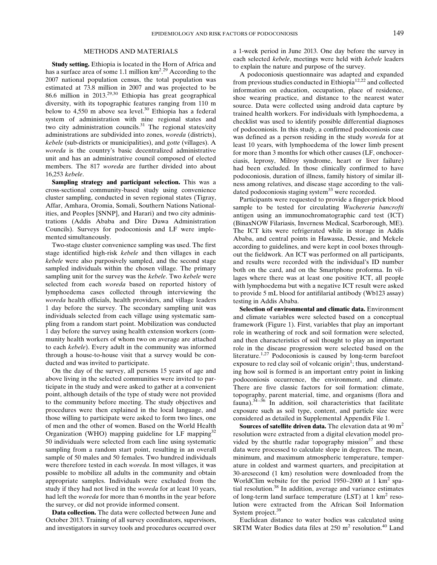#### METHODS AND MATERIALS

Study setting. Ethiopia is located in the Horn of Africa and has a surface area of some 1.1 million km<sup>2,29</sup> According to the 2007 national population census, the total population was estimated at 73.8 million in 2007 and was projected to be 86.6 million in 2013.29,30 Ethiopia has great geographical diversity, with its topographic features ranging from 110 m below to  $4,550$  m above sea level.<sup>30</sup> Ethiopia has a federal system of administration with nine regional states and two city administration councils.<sup>31</sup> The regional states/city administrations are subdivided into zones, *woreda* (districts), *kebele* (sub-districts or municipalities), and *gotte* (villages). A *woreda* is the country's basic decentralized administrative unit and has an administrative council composed of elected members. The 817 *woreda* are further divided into about 16,253 *kebele*.

Sampling strategy and participant selection. This was a cross-sectional community-based study using convenience cluster sampling, conducted in seven regional states (Tigray, Affar, Amhara, Oromia, Somali, Southern Nations Nationalities, and Peoples [SNNP], and Harari) and two city administrations (Addis Ababa and Dire Dawa Administration Councils). Surveys for podoconiosis and LF were implemented simultaneously.

Two-stage cluster convenience sampling was used. The first stage identified high-risk *kebele* and then villages in each *kebele* were also purposively sampled, and the second stage sampled individuals within the chosen village. The primary sampling unit for the survey was the *kebele*. Two *kebele* were selected from each *woreda* based on reported history of lymphoedema cases collected through interviewing the *woreda* health officials, health providers, and village leaders 1 day before the survey. The secondary sampling unit was individuals selected from each village using systematic sampling from a random start point. Mobilization was conducted 1 day before the survey using health extension workers (community health workers of whom two on average are attached to each *kebele*). Every adult in the community was informed through a house-to-house visit that a survey would be conducted and was invited to participate.

On the day of the survey, all persons 15 years of age and above living in the selected communities were invited to participate in the study and were asked to gather at a convenient point, although details of the type of study were not provided to the community before meeting. The study objectives and procedures were then explained in the local language, and those willing to participate were asked to form two lines, one of men and the other of women. Based on the World Health Organization (WHO) mapping guideline for LF mapping<sup>32</sup> 50 individuals were selected from each line using systematic sampling from a random start point, resulting in an overall sample of 50 males and 50 females. Two hundred individuals were therefore tested in each *woreda*. In most villages, it was possible to mobilize all adults in the community and obtain appropriate samples. Individuals were excluded from the study if they had not lived in the *woreda* for at least 10 years, had left the *woreda* for more than 6 months in the year before the survey, or did not provide informed consent.

Data collection. The data were collected between June and October 2013. Training of all survey coordinators, supervisors, and investigators in survey tools and procedures occurred over a 1-week period in June 2013. One day before the survey in each selected *kebele*, meetings were held with *kebele* leaders to explain the nature and purpose of the survey.

A podoconiosis questionnaire was adapted and expanded from previous studies conducted in Ethiopia<sup>12,22</sup> and collected information on education, occupation, place of residence, shoe wearing practice, and distance to the nearest water source. Data were collected using android data capture by trained health workers. For individuals with lymphoedema, a checklist was used to identify possible differential diagnoses of podoconiosis. In this study, a confirmed podoconiosis case was defined as a person residing in the study *woreda* for at least 10 years, with lymphoedema of the lower limb present for more than 3 months for which other causes (LF, onchocerciasis, leprosy, Milroy syndrome, heart or liver failure) had been excluded. In those clinically confirmed to have podoconiosis, duration of illness, family history of similar illness among relatives, and disease stage according to the validated podoconiosis staging system<sup>33</sup> were recorded.

Participants were requested to provide a finger-prick blood sample to be tested for circulating *Wuchereria bancrofti* antigen using an immunochromatographic card test (ICT) (BinaxNOW Filariasis, Inverness Medical, Scarborough, ME). The ICT kits were refrigerated while in storage in Addis Ababa, and central points in Hawassa, Dessie, and Mekele according to guidelines, and were kept in cool boxes throughout the fieldwork. An ICT was performed on all participants, and results were recorded with the individual's ID number both on the card, and on the Smartphone proforma. In villages where there was at least one positive ICT, all people with lymphoedema but with a negative ICT result were asked to provide 5 mL blood for antifilarial antibody (Wb123 assay) testing in Addis Ababa.

Selection of environmental and climatic data. Environment and climate variables were selected based on a conceptual framework (Figure 1). First, variables that play an important role in weathering of rock and soil formation were selected, and then characteristics of soil thought to play an important role in the disease progression were selected based on the literature.<sup>1,27</sup> Podoconiosis is caused by long-term barefoot exposure to red clay soil of volcanic origin<sup>1</sup>; thus, understanding how soil is formed is an important entry point in linking podoconiosis occurrence, the environment, and climate. There are five classic factors for soil formation: climate, topography, parent material, time, and organisms (flora and fauna). $34-36$  In addition, soil characteristics that facilitate exposure such as soil type, content, and particle size were considered as detailed in Supplemental Appendix File 1.

Sources of satellite driven data. The elevation data at  $90 \text{ m}^2$ resolution were extracted from a digital elevation model provided by the shuttle radar topography mission $37$  and these data were processed to calculate slope in degrees. The mean, minimum, and maximum atmospheric temperature, temperature in coldest and warmest quarters, and precipitation at 30-arcsecond (1 km) resolution were downloaded from the WorldClim website for the period  $1950-2000$  at 1 km<sup>2</sup> spatial resolution.<sup>38</sup> In addition, average and variance estimates of long-term land surface temperature (LST) at 1 km<sup>2</sup> resolution were extracted from the African Soil Information System project.<sup>39</sup>

Euclidean distance to water bodies was calculated using SRTM Water Bodies data files at 250 m<sup>2</sup> resolution.<sup>40</sup> Land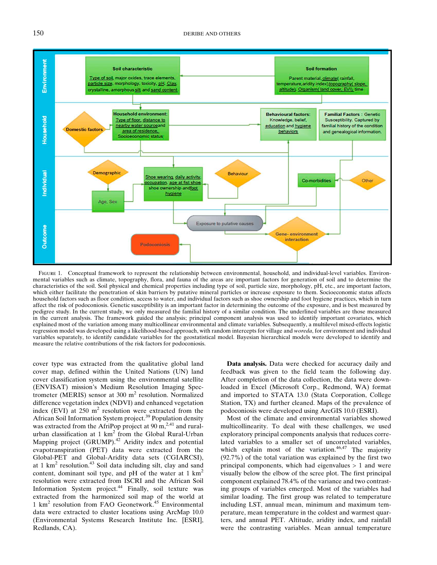

FIGURE 1. Conceptual framework to represent the relationship between environmental, household, and individual-level variables. Environmental variables such as climate, topography, flora, and fauna of the areas are important factors for generation of soil and to determine the characteristics of the soil. Soil physical and chemical properties including type of soil, particle size, morphology, pH, etc., are important factors, which either facilitate the penetration of skin barriers by putative mineral particles or increase exposure to them. Socioeconomic status affects household factors such as floor condition, access to water, and individual factors such as shoe ownership and foot hygiene practices, which in turn affect the risk of podoconiosis. Genetic susceptibility is an important factor in determining the outcome of the exposure, and is best measured by pedigree study. In the current study, we only measured the familial history of a similar condition. The underlined variables are those measured in the current analysis. The framework guided the analysis; principal component analysis was used to identify important covariates, which explained most of the variation among many multicollinear environmental and climate variables. Subsequently, a multilevel mixed-effects logistic regression model was developed using a likelihood-based approach, with random intercepts for village and *woreda*, for environment and individual variables separately, to identify candidate variables for the geostatistical model. Bayesian hierarchical models were developed to identify and measure the relative contributions of the risk factors for podoconiosis.

cover type was extracted from the qualitative global land cover map, defined within the United Nations (UN) land cover classification system using the environmental satellite (ENVISAT) mission's Medium Resolution Imaging Spectrometer (MERIS) sensor at 300 m<sup>2</sup> resolution. Normalized difference vegetation index (NDVI) and enhanced vegetation index (EVI) at  $250 \text{ m}^2$  resolution were extracted from the African Soil Information System project.<sup>39</sup> Population density was extracted from the AfriPop project at 90 m,<sup>2,41</sup> and ruralurban classification at 1 km<sup>2</sup> from the Global Rural-Urban Mapping project (GRUMP).<sup>42</sup> Aridity index and potential evapotranspiration (PET) data were extracted from the Global-PET and Global-Aridity data sets (CGIARCSI), at 1  $km^2$  resolution.<sup>43</sup> Soil data including silt, clay and sand content, dominant soil type, and pH of the water at 1 km<sup>2</sup> resolution were extracted from ISCRI and the African Soil Information System project.<sup>44</sup> Finally, soil texture was extracted from the harmonized soil map of the world at 1 km<sup>2</sup> resolution from FAO Geonetwork.<sup>45</sup> Environmental data were extracted to cluster locations using ArcMap 10.0 (Environmental Systems Research Institute Inc. [ESRI], Redlands, CA).

Data analysis. Data were checked for accuracy daily and feedback was given to the field team the following day. After completion of the data collection, the data were downloaded in Excel (Microsoft Corp., Redmond, WA) format and imported to STATA 13.0 (Stata Corporation, College Station, TX) and further cleaned. Maps of the prevalence of podoconiosis were developed using ArcGIS 10.0 (ESRI).

Most of the climate and environmental variables showed multicollinearity. To deal with these challenges, we used exploratory principal components analysis that reduces correlated variables to a smaller set of uncorrelated variables, which explain most of the variation. $46,47$  The majority (92.7%) of the total variation was explained by the first two principal components, which had eigenvalues > 1 and were visually below the elbow of the scree plot. The first principal component explained 78.4% of the variance and two contrasting groups of variables emerged. Most of the variables had similar loading. The first group was related to temperature including LST, annual mean, minimum and maximum temperature, mean temperature in the coldest and warmest quarters, and annual PET. Altitude, aridity index, and rainfall were the contrasting variables. Mean annual temperature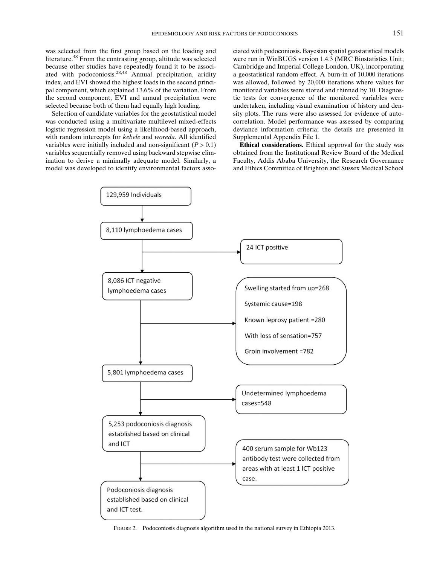was selected from the first group based on the loading and literature.<sup>48</sup> From the contrasting group, altitude was selected because other studies have repeatedly found it to be associated with podoconiosis.<sup>28,48</sup> Annual precipitation, aridity index, and EVI showed the highest loads in the second principal component, which explained 13.6% of the variation. From the second component, EVI and annual precipitation were selected because both of them had equally high loading.

Selection of candidate variables for the geostatistical model was conducted using a multivariate multilevel mixed-effects logistic regression model using a likelihood-based approach, with random intercepts for *kebele* and *woreda*. All identified variables were initially included and non-significant  $(P > 0.1)$ variables sequentially removed using backward stepwise elimination to derive a minimally adequate model. Similarly, a model was developed to identify environmental factors associated with podoconiosis. Bayesian spatial geostatistical models were run in WinBUGS version 1.4.3 (MRC Biostatistics Unit, Cambridge and Imperial College London, UK), incorporating a geostatistical random effect. A burn-in of 10,000 iterations was allowed, followed by 20,000 iterations where values for monitored variables were stored and thinned by 10. Diagnostic tests for convergence of the monitored variables were undertaken, including visual examination of history and density plots. The runs were also assessed for evidence of autocorrelation. Model performance was assessed by comparing deviance information criteria; the details are presented in Supplemental Appendix File 1.

Ethical considerations. Ethical approval for the study was obtained from the Institutional Review Board of the Medical Faculty, Addis Ababa University, the Research Governance and Ethics Committee of Brighton and Sussex Medical School



Figure 2. Podoconiosis diagnosis algorithm used in the national survey in Ethiopia 2013.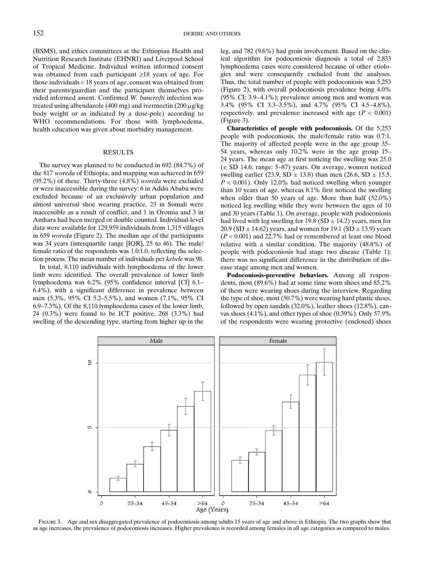(BSMS), and ethics committees at the Ethiopian Health and Nutrition Research Institute (EHNRI) and Liverpool School of Tropical Medicine. Individual written informed consent was obtained from each participant  $\geq 18$  years of age. For those individuals < 18 years of age, consent was obtained from their parents/guardian and the participant themselves provided informed assent. Confirmed *W. bancrofti* infection was treated using albendazole (400 mg) and ivermectin  $(200 \mu g/kg)$ body weight or as indicated by a dose-pole) according to WHO recommendations. For those with lymphoedema, health education was given about morbidity management.

#### RESULTS

The survey was planned to be conducted in 692 (84.7%) of the 817 *woreda* of Ethiopia, and mapping was achieved in 659 (95.2%) of these. Thirty-three (4.8%) *woreda* were excluded or were inaccessible during the survey: 6 in Addis Ababa were excluded because of an exclusively urban population and almost universal shoe wearing practice, 23 in Somali were inaccessible as a result of conflict, and 1 in Oromia and 3 in Amhara had been merged or double counted. Individual-level data were available for 129,959 individuals from 1,315 villages in 659 *woreda* (Figure 2). The median age of the participants was 34 years (interquartile range [IQR], 25 to 46). The male/ female ratio of the respondents was 1.0:1.0, reflecting the selection process. The mean number of individuals per *kebele* was 98.

In total, 8,110 individuals with lymphoedema of the lower limb were identified. The overall prevalence of lower limb lymphoedema was 6.2% (95% confidence interval [CI] 6.1– 6.4%), with a significant difference in prevalence between men (5.3%, 95% CI 5.2–5.5%), and women (7.1%, 95% CI 6.9–7.3%). Of the 8,110 lymphoedema cases of the lower limb, 24 (0.3%) were found to be ICT positive, 268 (3.3%) had swelling of the descending type, starting from higher up in the leg, and 782 (9.6%) had groin involvement. Based on the clinical algorithm for podoconiosis diagnosis a total of 2,833 lymphoedema cases were considered because of other etiologies and were consequently excluded from the analyses. Thus, the total number of people with podoconiosis was 5,253 (Figure 2), with overall podoconiosis prevalence being 4.0% (95% CI; 3.9–4.1%); prevalence among men and women was 3.4% (95% CI 3.3–3.5%), and 4.7% (95% CI 4.5–4.8%), respectively, and prevalence increased with age  $(P < 0.001)$ (Figure 3).

Characteristics of people with podoconiosis. Of the 5,253 people with podoconiosis, the male/female ratio was 0.7:1. The majority of affected people were in the age group 35– 54 years, whereas only 10.2% were in the age group 15– 24 years. The mean age at first noticing the swelling was 25.0 (± SD 14.6; range: 5–87) years. On average, women noticed swelling earlier (23.9, SD  $\pm$  13.8) than men (26.6, SD  $\pm$  15.5,  $P < 0.001$ ). Only 12.0% had noticed swelling when younger than 10 years of age, whereas 8.1% first noticed the swelling when older than 50 years of age. More than half (52.0%) noticed leg swelling while they were between the ages of 10 and 30 years (Table 1). On average, people with podoconiosis had lived with leg swelling for 19.8 (SD  $\pm$  14.2) years, men for 20.9 (SD  $\pm$  14.62) years, and women for 19.1 (SD  $\pm$  13.9) years (*P* < 0.001) and 22.7% had or remembered at least one blood relative with a similar condition. The majority (48.8%) of people with podoconiosis had stage two disease (Table 1); there was no significant difference in the distribution of disease stage among men and women.

Podoconiosis-preventive behaviors. Among all respondents, most (89.6%) had at some time worn shoes and 85.2% of them were wearing shoes during the interview. Regarding the type of shoe, most (50.7%) were wearing hard plastic shoes, followed by open sandals (32.0%), leather shoes (12.8%), canvas shoes (4.1%), and other types of shoe (0.39%). Only 57.9% of the respondents were wearing protective (enclosed) shoes



FIGURE 3. Age and sex disaggregated prevalence of podoconiosis among adults 15 years of age and above in Ethiopia. The two graphs show that as age increases, the prevalence of podoconiosis increases. Higher prevalence is recorded among females in all age categories as compared to males.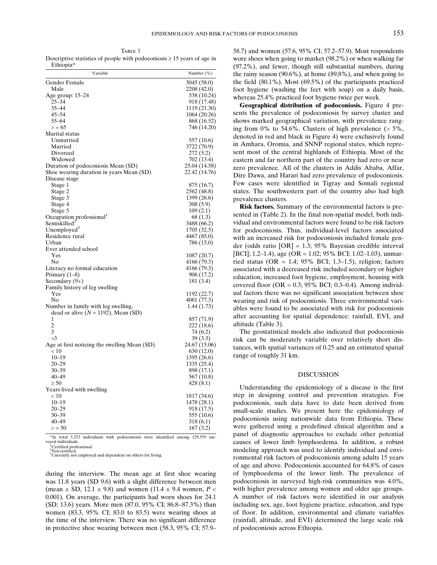TABLE 1

Descriptive statistics of people with podoconiosis  $\geq 15$  years of age in Ethiopia\*

| Variable                                           | Number $(\%)$ |
|----------------------------------------------------|---------------|
| Gender Female                                      | 3045 (58.0)   |
| Male                                               | 2208 (42.0)   |
| Age group: 15–24                                   | 538 (10.24)   |
| 25–34                                              | 918 (17.48)   |
| $35 - 44$                                          | 1119 (21.30)  |
| $45 - 54$                                          | 1064 (20.26)  |
| $55 - 64$                                          | 868 (16.52)   |
| > 65                                               | 746 (14.20)   |
| Marital status                                     |               |
| Unmarried                                          | 557 (10.6)    |
| Married                                            | 3722 (70.9)   |
| Divorced                                           | 272 (5.2)     |
| Widowed                                            | 702 (13.4)    |
| Duration of podoconiosis Mean (SD)                 | 25.04 (14.58) |
| Shoe wearing duration in years Mean (SD)           | 22.42 (14.76) |
| Disease stage                                      |               |
| Stage 1                                            | 875 (16.7)    |
| Stage 2                                            | 2562 (48.8)   |
| Stage 3                                            | 1399 (26.6)   |
| Stage 4                                            | 308 (5.9)     |
| Stage 5                                            | 109(2.1)      |
| Occupation professional <sup>1</sup>               | 68 (1.3)      |
| Semiskilled <sup>2</sup>                           | 3488 (66.2)   |
| Unemployed <sup>3</sup>                            | 1705 (32.5)   |
| Residence rural                                    | 4467 (85.0)   |
| Urban                                              | 786 (15.0)    |
| Ever attended school                               |               |
| Yes                                                | 1087(20.7)    |
| No                                                 | 4166 (79.3)   |
| Literacy no formal education                       | 4166 (79.3)   |
| Primary $(1-8)$                                    | 906 (17.2)    |
| Secondary $(9+)$<br>Family history of leg swelling | 181 (3.4)     |
| Yes                                                | 1192 (22.7)   |
| No                                                 | 4061 (77.3)   |
| Number in family with leg swelling,                | 1.44 (1.73)   |
| dead or alive $(N = 1192)$ , Mean (SD)             |               |
| 1                                                  | 857 (71.9)    |
| 2                                                  | 222 (18.6)    |
| 3                                                  | 74 (6.2)      |
| >3                                                 | 39 (3.3)      |
| Age at first noticing the swelling Mean (SD)       | 24.67 (15.06) |
| < 10                                               | 630 (12.0)    |
| $10 - 19$                                          | 1395 (26.6)   |
| 20–29                                              | 1335 (25.4)   |
| 30–39                                              | 898 (17.1)    |
| 40–49                                              | 567 (10.8)    |
| $\geq 50$                                          | 428 (8.1)     |
| Years lived with swelling                          |               |
| < 10                                               | 1817 (34.6)   |
| $10 - 19$                                          | 1478 (28.1)   |
| 20–29                                              | 918 (17.5)    |
| $30 - 39$                                          | 555 (10.6)    |
| $40 - 49$                                          | 318(6.1)      |
| > 50                                               | 167(3.2)      |

\*In total 5,253 individuals with podoconiosis were identified among 129,559 surveyed individuals. <sup>1</sup>Certified professional.

<sup>2</sup>Not-certified.

<sup>3</sup>Currently not employed and dependent on others for living.

during the interview. The mean age at first shoe wearing was 11.8 years (SD 9.6) with a slight difference between men (mean  $\pm$  SD, 12.1  $\pm$  9.8) and women (11.4  $\pm$  9.4 women, *P* < 0.001). On average, the participants had worn shoes for 24.1 (SD; 13.6) years. More men (87.0, 95% CI; 86.8–87.3%) than women (83.3, 95% CI; 83.0 to 83.5) were wearing shoes at the time of the interview. There was no significant difference in protective shoe wearing between men (58.3, 95% CI; 57.9– 58.7) and women (57.6, 95% CI; 57.2–57.9). Most respondents wore shoes when going to market (98.2%) or when walking far (97.2%), and fewer, though still substantial numbers, during the rainy season (90.6%), at home (89.8%), and when going to the field (80.1%). Most (69.5%) of the participants practiced foot hygiene (washing the feet with soap) on a daily basis, whereas 25.4% practiced foot hygiene twice per week.

Geographical distribution of podoconiosis. Figure 4 presents the prevalence of podoconiosis by survey cluster and shows marked geographical variation, with prevalence ranging from 0% to 54.6%. Clusters of high prevalence  $($  > 5%, denoted in red and black in Figure 4) were exclusively found in Amhara, Oromia, and SNNP regional states, which represent most of the central highlands of Ethiopia. Most of the eastern and far northern part of the country had zero or near zero prevalence. All of the clusters in Addis Ababa, Affar, Dire Dawa, and Harari had zero prevalence of podoconiosis. Few cases were identified in Tigray and Somali regional states. The southwestern part of the country also had high prevalence clusters.

Risk factors. Summary of the environmental factors is presented in (Table 2). In the final non-spatial model, both individual and environmental factors were found to be risk factors for podoconiosis. Thus, individual-level factors associated with an increased risk for podoconiosis included female gender (odds ratio [OR] = 1.3; 95% Bayesian credible interval [BCI]; 1.2–1.4), age (OR = 1.02; 95% BCI; 1.02–1.03), unmarried status (OR = 1.4;  $95\%$  BCI; 1.3–1.5), religion; factors associated with a decreased risk included secondary or higher education, increased foot hygiene, employment, housing with covered floor (OR =  $0.3$ ; 95% BCI; 0.3–0.4). Among individual factors there was no significant association between shoe wearing and risk of podoconiosis. Three environmental variables were found to be associated with risk for podoconiosis after accounting for spatial dependence: rainfall, EVI, and altitude (Table 3).

The geostatistical models also indicated that podoconiosis risk can be moderately variable over relatively short distances, with spatial variances of 0.25 and an estimated spatial range of roughly 31 km.

#### DISCUSSION

Understanding the epidemiology of a disease is the first step in designing control and prevention strategies. For podoconiosis, such data have to date been derived from small-scale studies. We present here the epidemiology of podoconiosis using nationwide data from Ethiopia. These were gathered using a predefined clinical algorithm and a panel of diagnostic approaches to exclude other potential causes of lower limb lymphoedema. In addition, a robust modeling approach was used to identify individual and environmental risk factors of podoconiosis among adults 15 years of age and above. Podoconiosis accounted for 64.8% of cases of lymphoedema of the lower limb. The prevalence of podoconiosis in surveyed high-risk communities was 4.0%, with higher prevalence among women and older age groups. A number of risk factors were identified in our analysis including sex, age, foot hygiene practice, education, and type of floor. In addition, environmental and climate variables (rainfall, altitude, and EVI) determined the large scale risk of podoconiosis across Ethiopia.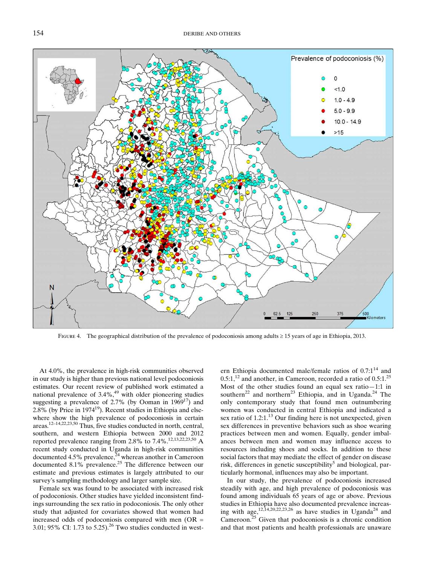

FIGURE 4. The geographical distribution of the prevalence of podoconiosis among adults  $\geq 15$  years of age in Ethiopia, 2013.

At 4.0%, the prevalence in high-risk communities observed in our study is higher than previous national level podoconiosis estimates. Our recent review of published work estimated a national prevalence of  $3.4\%$ ,<sup>49</sup> with older pioneering studies suggesting a prevalence of 2.7% (by Ooman in  $1969^{17}$ ) and 2.8% (by Price in 197419). Recent studies in Ethiopia and elsewhere show the high prevalence of podoconiosis in certain areas.12–14,22,23,50 Thus, five studies conducted in north, central, southern, and western Ethiopia between 2000 and 2012 reported prevalence ranging from 2.8% to 7.4%.12,13,22,23,50 A recent study conducted in Uganda in high-risk communities documented 4.5% prevalence, $24$  whereas another in Cameroon documented 8.1% prevalence.<sup>25</sup> The difference between our estimate and previous estimates is largely attributed to our survey's sampling methodology and larger sample size.

Female sex was found to be associated with increased risk of podoconiosis. Other studies have yielded inconsistent findings surrounding the sex ratio in podoconiosis. The only other study that adjusted for covariates showed that women had increased odds of podoconiosis compared with men  $(OR =$ 3.01; 95% CI:  $1.73$  to  $5.25$ ).<sup>26</sup> Two studies conducted in western Ethiopia documented male/female ratios of  $0.7:1^{14}$  and  $0.5:1$ ,<sup>12</sup> and another, in Cameroon, recorded a ratio of  $0.5:1$ .<sup>25</sup> Most of the other studies found an equal sex ratio—1:1 in southern<sup>22</sup> and northern<sup>23</sup> Ethiopia, and in Uganda.<sup>24</sup> The only contemporary study that found men outnumbering women was conducted in central Ethiopia and indicated a sex ratio of  $1.2:1<sup>13</sup>$  Our finding here is not unexpected, given sex differences in preventive behaviors such as shoe wearing practices between men and women. Equally, gender imbalances between men and women may influence access to resources including shoes and socks. In addition to these social factors that may mediate the effect of gender on disease risk, differences in genetic susceptibility<sup>5</sup> and biological, particularly hormonal, influences may also be important.

In our study, the prevalence of podoconiosis increased steadily with age, and high prevalence of podoconiosis was found among individuals 65 years of age or above. Previous studies in Ethiopia have also documented prevalence increasing with age,<sup>12,14,20,22,23,26</sup> as have studies in Uganda<sup>24</sup> and Cameroon. $25$  Given that podoconiosis is a chronic condition and that most patients and health professionals are unaware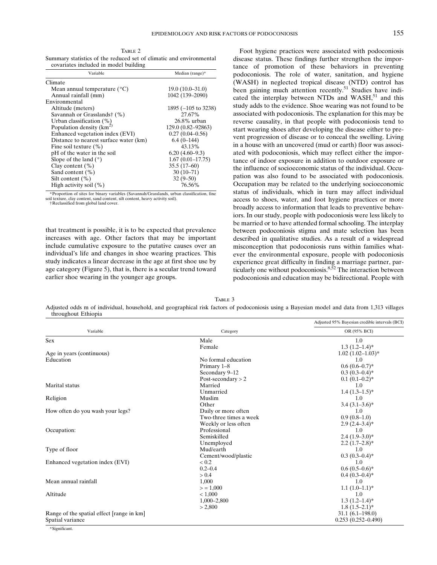TABLE 2 Summary statistics of the reduced set of climatic and environmental covariates included in model building

| Variable                               | Median (range)*     |
|----------------------------------------|---------------------|
| Climate                                |                     |
| Mean annual temperature $(^{\circ}C)$  | $19.0(10.0-31.0)$   |
| Annual rainfall (mm)                   | 1042 (139-2090)     |
| Environmental                          |                     |
| Altitude (meters)                      | 1895 (-105 to 3238) |
| Savannah or Grasslands† (%)            | 27.67%              |
| Urban classification $(\%)$            | 26.8% urban         |
| Population density $(km^2)$            | 129.0 (0.82–92863)  |
| Enhanced vegetation index (EVI)        | $0.27(0.04 - 0.56)$ |
| Distance to nearest surface water (km) | $6.4(0-144)$        |
| Fine soil texture $(\% )$              | 43.13%              |
| pH of the water in the soil            | $6.20(4.60-9.3)$    |
| Slope of the land $(°)$                | $1.67(0.01-17.75)$  |
| Clay content $(\%)$                    | $35.5(17-60)$       |
| Sand content $(\% )$                   | $30(10-71)$         |
| Silt content $(\% )$                   | $32(9-50)$          |
| High activity soil $(\%)$              | 76.56%              |

\*Proportion of sites for binary variables (Savannah/Grasslands, urban classification, fine soil texture, clay content, sand content, silt content, heavy activity soil). †Reclassified from global land cover.

that treatment is possible, it is to be expected that prevalence increases with age. Other factors that may be important include cumulative exposure to the putative causes over an individual's life and changes in shoe wearing practices. This study indicates a linear decrease in the age at first shoe use by age category (Figure 5), that is, there is a secular trend toward earlier shoe wearing in the younger age groups.

Foot hygiene practices were associated with podoconiosis disease status. These findings further strengthen the importance of promotion of these behaviors in preventing podoconiosis. The role of water, sanitation, and hygiene (WASH) in neglected tropical disease (NTD) control has been gaining much attention recently.<sup>51</sup> Studies have indicated the interplay between NTDs and WASH,<sup>51</sup> and this study adds to the evidence. Shoe wearing was not found to be associated with podoconiosis. The explanation for this may be reverse causality, in that people with podoconiosis tend to start wearing shoes after developing the disease either to prevent progression of disease or to conceal the swelling. Living in a house with an uncovered (mud or earth) floor was associated with podoconiosis, which may reflect either the importance of indoor exposure in addition to outdoor exposure or the influence of socioeconomic status of the individual. Occupation was also found to be associated with podoconiosis. Occupation may be related to the underlying socioeconomic status of individuals, which in turn may affect individual access to shoes, water, and foot hygiene practices or more broadly access to information that leads to preventive behaviors. In our study, people with podoconiosis were less likely to be married or to have attended formal schooling. The interplay between podoconiosis stigma and mate selection has been described in qualitative studies. As a result of a widespread misconception that podoconiosis runs within families whatever the environmental exposure, people with podoconiosis experience great difficulty in finding a marriage partner, particularly one without podoconiosis.<sup>8,52</sup> The interaction between</sup> podoconiosis and education may be bidirectional. People with

TABLE 3

Adjusted odds m of individual, household, and geographical risk factors of podoconiosis using a Bayesian model and data from 1,313 villages throughout Ethiopia

| Variable                                  | Category               | Adjusted 95% Bayesian credible intervals (BCI)<br>OR (95% BCI) |
|-------------------------------------------|------------------------|----------------------------------------------------------------|
|                                           |                        |                                                                |
| Female                                    | $1.3(1.2-1.4)$ *       |                                                                |
| Age in years (continuous)                 |                        | $1.02(1.02-1.03)*$                                             |
| Education                                 | No formal education    | 1.0                                                            |
|                                           | Primary 1-8            | $0.6(0.6-0.7)$ *                                               |
|                                           | Secondary 9-12         | $0.3(0.3-0.4)$ *                                               |
|                                           | Post-secondary $> 2$   | $0.1(0.1-0.2)$ *                                               |
| Marital status                            | Married                | 1.0                                                            |
|                                           | Unmarried              | $1.4(1.3-1.5)*$                                                |
| Religion                                  | Muslim                 | 1.0                                                            |
|                                           | Other                  | $3.4(3.1-3.6)$ *                                               |
| How often do you wash your legs?          | Daily or more often    | 1.0                                                            |
|                                           | Two-three times a week | $0.9(0.8-1.0)$                                                 |
|                                           | Weekly or less often   | $2.9(2.4-3.4)*$                                                |
| Occupation:                               | Professional           | 1.0                                                            |
|                                           | Semiskilled            | $2.4(1.9-3.0)*$                                                |
|                                           | Unemployed             | $2.2(1.7-2.8)$ *                                               |
| Type of floor                             | Mud/earth              | 1.0                                                            |
|                                           | Cement/wood/plastic    | $0.3(0.3-0.4)$ *                                               |
| Enhanced vegetation index (EVI)           | ${}< 0.2$              | 1.0                                                            |
|                                           | $0.2 - 0.4$            | $0.6(0.5-0.6)$ *                                               |
|                                           | > 0.4                  | $0.4(0.3-0.4)$ *                                               |
| Mean annual rainfall                      | 1.000                  | 1.0                                                            |
|                                           | > 1,000                | $1.1(1.0-1.1)$ *                                               |
| Altitude                                  | < 1.000                | 1.0                                                            |
|                                           | $1,000 - 2,800$        | $1.3(1.2-1.4)$ *                                               |
|                                           | > 2,800                | $1.8(1.5-2.1)$ *                                               |
| Range of the spatial effect [range in km] |                        | $31.1(6.1 - 198.0)$                                            |
| Spatial variance                          |                        | $0.253(0.252 - 0.490)$                                         |

<sup>\*</sup>Significant.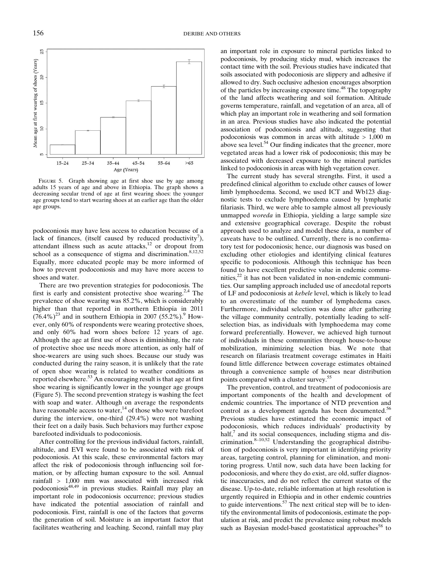

FIGURE 5. Graph showing age at first shoe use by age among adults 15 years of age and above in Ethiopia. The graph shows a decreasing secular trend of age at first wearing shoes: the younger age groups tend to start wearing shoes at an earlier age than the older age groups.

podoconiosis may have less access to education because of a lack of finances, (itself caused by reduced productivity<sup>7</sup>), attendant illness such as acute attacks, $12$  or dropout from school as a consequence of stigma and discrimination. $8,12,52$ Equally, more educated people may be more informed of how to prevent podoconiosis and may have more access to shoes and water.

There are two prevention strategies for podoconiosis. The first is early and consistent protective shoe wearing.<sup>2,4</sup> The prevalence of shoe wearing was 85.2%, which is considerably higher than that reported in northern Ethiopia in 2011  $(76.4\%)^{23}$  and in southern Ethiopia in 2007 (55.2%).<sup>9</sup> However, only 60% of respondents were wearing protective shoes, and only 60% had worn shoes before 12 years of age. Although the age at first use of shoes is diminishing, the rate of protective shoe use needs more attention, as only half of shoe-wearers are using such shoes. Because our study was conducted during the rainy season, it is unlikely that the rate of open shoe wearing is related to weather conditions as reported elsewhere.<sup>53</sup> An encouraging result is that age at first shoe wearing is significantly lower in the younger age groups (Figure 5). The second prevention strategy is washing the feet with soap and water. Although on average the respondents have reasonable access to water,<sup>14</sup> of those who were barefoot during the interview, one-third (29.4%) were not washing their feet on a daily basis. Such behaviors may further expose barefooted individuals to podoconiosis.

After controlling for the previous individual factors, rainfall, altitude, and EVI were found to be associated with risk of podoconiosis. At this scale, these environmental factors may affect the risk of podoconiosis through influencing soil formation, or by affecting human exposure to the soil. Annual rainfall > 1,000 mm was associated with increased risk podoconiosis48,49 in previous studies. Rainfall may play an important role in podoconiosis occurrence; previous studies have indicated the potential association of rainfall and podoconiosis. First, rainfall is one of the factors that governs the generation of soil. Moisture is an important factor that facilitates weathering and leaching. Second, rainfall may play an important role in exposure to mineral particles linked to podoconiosis, by producing sticky mud, which increases the contact time with the soil. Previous studies have indicated that soils associated with podoconiosis are slippery and adhesive if allowed to dry. Such occlusive adhesion encourages absorption of the particles by increasing exposure time.<sup>48</sup> The topography of the land affects weathering and soil formation. Altitude governs temperature, rainfall, and vegetation of an area, all of which play an important role in weathering and soil formation in an area. Previous studies have also indicated the potential association of podoconiosis and altitude, suggesting that podoconiosis was common in areas with altitude > 1,000 m above sea level. $54$  Our finding indicates that the greener, more vegetated areas had a lower risk of podoconiosis; this may be associated with decreased exposure to the mineral particles linked to podoconiosis in areas with high vegetation cover.

The current study has several strengths. First, it used a predefined clinical algorithm to exclude other causes of lower limb lymphoedema. Second, we used ICT and Wb123 diagnostic tests to exclude lymphoedema caused by lymphatic filariasis. Third, we were able to sample almost all previously unmapped *woreda* in Ethiopia, yielding a large sample size and extensive geographical coverage. Despite the robust approach used to analyze and model these data, a number of caveats have to be outlined. Currently, there is no confirmatory test for podoconiosis; hence, our diagnosis was based on excluding other etiologies and identifying clinical features specific to podoconiosis. Although this technique has been found to have excellent predictive value in endemic communities, $^{22}$  it has not been validated in non-endemic communities. Our sampling approach included use of anecdotal reports of LF and podoconiosis at *kebele* level, which is likely to lead to an overestimate of the number of lymphedema cases. Furthermore, individual selection was done after gathering the village community centrally, potentially leading to selfselection bias, as individuals with lymphoedema may come forward preferentially. However, we achieved high turnout of individuals in these communities through house-to-house mobilization, minimizing selection bias. We note that research on filariasis treatment coverage estimates in Haiti found little difference between coverage estimates obtained through a convenience sample of houses near distribution points compared with a cluster survey.<sup>55</sup>

The prevention, control, and treatment of podoconiosis are important components of the health and development of endemic countries. The importance of NTD prevention and control as a development agenda has been documented.<sup>56</sup> Previous studies have estimated the economic impact of podoconiosis, which reduces individuals' productivity by half, $<sup>7</sup>$  and its social consequences, including stigma and dis-</sup> crimination.<sup>8–10,52</sup> Understanding the geographical distribution of podoconiosis is very important in identifying priority areas, targeting control, planning for elimination, and monitoring progress. Until now, such data have been lacking for podoconiosis, and where they do exist, are old, suffer diagnostic inaccuracies, and do not reflect the current status of the disease. Up-to-date, reliable information at high resolution is urgently required in Ethiopia and in other endemic countries to guide interventions.<sup>57</sup> The next critical step will be to identify the environmental limits of podoconiosis, estimate the population at risk, and predict the prevalence using robust models such as Bayesian model-based geostatistical approaches<sup>58</sup> to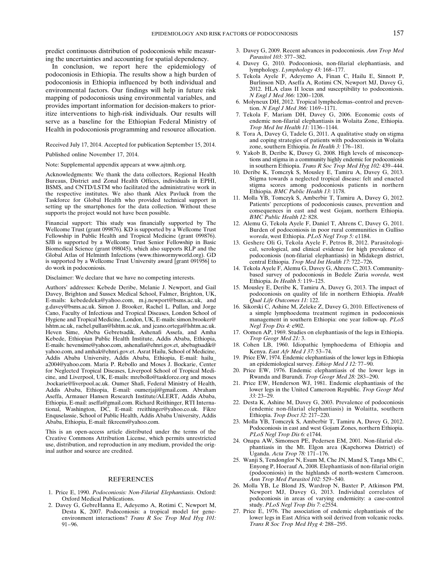predict continuous distribution of podoconiosis while measuring the uncertainties and accounting for spatial dependency.

In conclusion, we report here the epidemiology of podoconiosis in Ethiopia. The results show a high burden of podoconiosis in Ethiopia influenced by both individual and environmental factors. Our findings will help in future risk mapping of podoconiosis using environmental variables, and provides important information for decision-makers to prioritize interventions to high-risk individuals. Our results will serve as a baseline for the Ethiopian Federal Ministry of Health in podoconiosis programming and resource allocation.

Received July 17, 2014. Accepted for publication September 15, 2014.

Published online November 17, 2014.

Note: Supplemental appendix appears at www.ajtmh.org.

Acknowledgments: We thank the data collectors, Regional Health Bureaus, District and Zonal Health Offices, individuals in EPHI, BSMS, and CNTD/LSTM who facilitated the administrative work in the respective institutes. We also thank Alex Pavluck from the Taskforce for Global Health who provided technical support in setting up the smartphones for the data collection. Without these supports the project would not have been possible.

Financial support: This study was financially supported by The Wellcome Trust (grant 099876). KD is supported by a Wellcome Trust Fellowship in Public Health and Tropical Medicine (grant 099876). SJB is supported by a Wellcome Trust Senior Fellowship in Basic Biomedical Science (grant 098045), which also supports RLP and the Global Atlas of Helminth Infections (www.thiswormyworld.org). GD is supported by a Wellcome Trust University award [grant 091956] to do work in podoconiosis.

Disclaimer: We declare that we have no competing interests.

Authors' addresses: Kebede Deribe, Melanie J. Newport, and Gail Davey, Brighton and Sussex Medical School, Falmer, Brighton, UK, E-mails: kebededeka@yahoo.com, m.j.newport@bsms.ac.uk, and g.davey@bsms.ac.uk. Simon J. Brooker, Rachel L. Pullan, and Jorge Cano, Faculty of Infectious and Tropical Diseases, London School of Hygiene and Tropical Medicine, London, UK, E-mails: simon.brooker@ lshtm.ac.uk, rachel.pullan@lshtm.ac.uk, and jcano.ortega@lshtm.ac.uk. Heven Sime, Abeba Gebretsadik, Ashenafi Assefa, and Amha Kebede, Ethiopian Public Health Institute, Addis Ababa, Ethiopia, E-mails: hevensime@yahoo.com, ashenafia@ehnri.gov.et, abebagtsadik@ yahoo.com, and amhak@ehnri.gov.et. Asrat Hailu, School of Medicine, Addis Ababa University, Addis Ababa, Ethiopia, E-mail: hailu\_ a2004@yahoo.com. Maria P. Rebollo and Moses J. Bockarie, Center for Neglected Tropical Diseases, Liverpool School of Tropical Medicine, and Liverpool, UK, E-mails: mrebollo@taskforce.org and moses .bockarie@liverpool.ac.uk. Oumer Shafi, Federal Ministry of Health, Addis Ababa, Ethiopia, E-mail: oumerjaji@gmail.com. Abraham Aseffa, Armauer Hansen Research Institute/ALERT, Addis Ababa, Ethiopia, E-mail: aseffa@gmail.com. Richard Reithinger, RTI International, Washington, DC, E-mail: rreithinger@yahoo.co.uk. Fikre Enquselassie, School of Public Health, Addis Ababa University, Addis Ababa, Ethiopia, E-mail: fikreens@yahoo.com.

This is an open-access article distributed under the terms of the [Creative Commons Attribution License,](http://creativecommons.org/licenses/by/4.0/) which permits unrestricted use, distribution, and reproduction in any medium, provided the original author and source are credited.

#### REFERENCES

- 1. Price E, 1990. *Podoconiosis: Non-Filarial Elephantiasis*. Oxford: Oxford Medical Publications.
- 2. Davey G, GebreHanna E, Adeyemo A, Rotimi C, Newport M, Desta K, 2007. Podoconiosis: a tropical model for geneenvironment interactions? *Trans R Soc Trop Med Hyg 101:* 91–96.
- 3. Davey G, 2009. Recent advances in podoconiosis. *Ann Trop Med Parasitol 103:* 377–382.
- 4. Davey G, 2010. Podoconiosis, non-filarial elephantiasis, and lymphology. *Lymphology 43:* 168–177.
- 5. Tekola Ayele F, Adeyemo A, Finan C, Hailu E, Sinnott P, Burlinson ND, Aseffa A, Rotimi CN, Newport MJ, Davey G, 2012. HLA class II locus and susceptibility to podoconiosis. *N Engl J Med 366:* 1200–1208.
- 6. Molyneux DH, 2012. Tropical lymphedemas–control and prevention. *N Engl J Med 366:* 1169–1171.
- 7. Tekola F, Mariam DH, Davey G, 2006. Economic costs of endemic non-filarial elephantiasis in Wolaita Zone, Ethiopia. *Trop Med Int Health 11:* 1136–1144.
- 8. Tora A, Davey G, Tadele G, 2011. A qualitative study on stigma and coping strategies of patients with podoconiosis in Wolaita zone, southern Ethiopia. *In Health 3:* 176–181.
- 9. Yakob B, Deribe K, Davey G, 2008. High levels of misconceptions and stigma in a community highly endemic for podoconiosis in southern Ethiopia. *Trans R Soc Trop Med Hyg 102:* 439–444.
- 10. Deribe K, Tomczyk S, Mousley E, Tamiru A, Davey G, 2013. Stigma towards a neglected tropical disease: felt and enacted stigma scores among podoconiosis patients in northern Ethiopia. *BMC Public Health 13:* 1178.
- 11. Molla YB, Tomczyk S, Amberbir T, Tamiru A, Davey G, 2012. Patients' perceptions of podoconiosis causes, prevention and consequences in east and west Gojam, northern Ethiopia. *BMC Public Health 12:* 828.
- 12. Alemu G, Tekola Ayele F, Daniel T, Ahrens C, Davey G, 2011. Burden of podoconiosis in poor rural communities in Gulliso *woreda*, west Ethiopia. *PLoS Negl Trop 5:* e1184.
- 13. Geshere Oli G, Tekola Ayele F, Petros B, 2012. Parasitological, serological, and clinical evidence for high prevalence of podoconiosis (non-filarial elephantiasis) in Midakegn district, central Ethiopia. *Trop Med Int Health 17:* 722–726.
- 14. Tekola Ayele F, Alemu G, Davey G, Ahrens C, 2013. Communitybased survey of podoconiosis in Bedele Zuria *woreda*, west Ethiopia. *In Health 5:* 119–125.
- 15. Mousley E, Deribe K, Tamiru A, Davey G, 2013. The impact of podoconiosis on quality of life in northern Ethiopia. *Health Qual Life Outcomes 11:* 122.
- 16. Sikorski C, Ashine M, Zeleke Z, Davey G, 2010. Effectiveness of a simple lymphoedema treatment regimen in podoconiosis management in southern Ethiopia: one year follow-up. *PLoS Negl Trop Dis 4:* e902.
- 17. Oomen AP, 1969. Studies on elephantiasis of the legs in Ethiopia. *Trop Geogr Med 21:* 3.
- 18. Cohen LB, 1960. Idiopathic lymphoedema of Ethiopia and Kenya. *East Afr Med J 37:* 53–74.
- 19. Price EW, 1974. Endemic elephantiasis of the lower legs in Ethiopia an epidemiological survey. *Ethiop Med J 12:* 77–90.
- 20. Price EW, 1976. Endemic elephantiasis of the lower legs in Rwanda and Burundi. *Trop Geogr Med 28:* 283–290.
- 21. Price EW, Henderson WJ, 1981. Endemic elephantiasis of the lower legs in the United Cameroon Republic. *Trop Geogr Med 33:* 23–29.
- 22. Desta K, Ashine M, Davey G, 2003. Prevalence of podoconiosis (endemic non-filarial elephantiasis) in Wolaitta, southern Ethiopia. *Trop Doct 32:* 217–220.
- 23. Molla YB, Tomczyk S, Amberbir T, Tamiru A, Davey G, 2012. Podoconiosis in east and west Gojam Zones, northern Ethiopia. *PLoS Negl Trop Dis 6:* e1744.
- 24. Onapa AW, Simonsen PE, Pedersen EM, 2001. Non-filarial elephantiasis in the Mt. Elgon area (Kapchorwa District) of Uganda. *Acta Trop 78:* 171–176.
- 25. Wanji S, Tendongfor N, Esum M, Che JN, Mand S, Tanga Mbi C, Enyong P, Hoerauf A, 2008. Elephantiasis of non-filarial origin (podoconiosis) in the highlands of north-western Cameroon. *Ann Trop Med Parasitol 102:* 529–540.
- 26. Molla YB, Le Blond JS, Wardrop N, Baxter P, Atkinson PM, Newport MJ, Davey G, 2013. Individual correlates of podoconiosis in areas of varying endemicity: a case-control study. *PLoS Negl Trop Dis 7:* e2554.
- 27. Price E, 1976. The association of endemic elephantiasis of the lower legs in East Africa with soil derived from volcanic rocks. *Trans R Soc Trop Med Hyg 4:* 288–295.